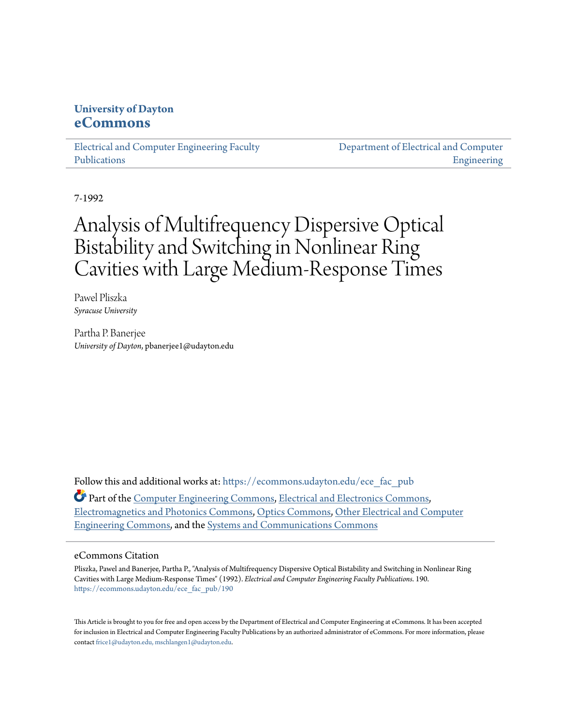# **University of Dayton [eCommons](https://ecommons.udayton.edu?utm_source=ecommons.udayton.edu%2Fece_fac_pub%2F190&utm_medium=PDF&utm_campaign=PDFCoverPages)**

[Electrical and Computer Engineering Faculty](https://ecommons.udayton.edu/ece_fac_pub?utm_source=ecommons.udayton.edu%2Fece_fac_pub%2F190&utm_medium=PDF&utm_campaign=PDFCoverPages) [Publications](https://ecommons.udayton.edu/ece_fac_pub?utm_source=ecommons.udayton.edu%2Fece_fac_pub%2F190&utm_medium=PDF&utm_campaign=PDFCoverPages)

[Department of Electrical and Computer](https://ecommons.udayton.edu/ece?utm_source=ecommons.udayton.edu%2Fece_fac_pub%2F190&utm_medium=PDF&utm_campaign=PDFCoverPages) [Engineering](https://ecommons.udayton.edu/ece?utm_source=ecommons.udayton.edu%2Fece_fac_pub%2F190&utm_medium=PDF&utm_campaign=PDFCoverPages)

7-1992

# Analysis of Multifrequency Dispersive Optical Bistability and Switching in Nonlinear Ring Cavities with Large Medium-Response Times

Pawel Pliszka *Syracuse University*

Partha P. Banerjee *University of Dayton*, pbanerjee1@udayton.edu

Follow this and additional works at: [https://ecommons.udayton.edu/ece\\_fac\\_pub](https://ecommons.udayton.edu/ece_fac_pub?utm_source=ecommons.udayton.edu%2Fece_fac_pub%2F190&utm_medium=PDF&utm_campaign=PDFCoverPages)

Part of the [Computer Engineering Commons,](http://network.bepress.com/hgg/discipline/258?utm_source=ecommons.udayton.edu%2Fece_fac_pub%2F190&utm_medium=PDF&utm_campaign=PDFCoverPages) [Electrical and Electronics Commons](http://network.bepress.com/hgg/discipline/270?utm_source=ecommons.udayton.edu%2Fece_fac_pub%2F190&utm_medium=PDF&utm_campaign=PDFCoverPages), [Electromagnetics and Photonics Commons,](http://network.bepress.com/hgg/discipline/271?utm_source=ecommons.udayton.edu%2Fece_fac_pub%2F190&utm_medium=PDF&utm_campaign=PDFCoverPages) [Optics Commons](http://network.bepress.com/hgg/discipline/204?utm_source=ecommons.udayton.edu%2Fece_fac_pub%2F190&utm_medium=PDF&utm_campaign=PDFCoverPages), [Other Electrical and Computer](http://network.bepress.com/hgg/discipline/278?utm_source=ecommons.udayton.edu%2Fece_fac_pub%2F190&utm_medium=PDF&utm_campaign=PDFCoverPages) [Engineering Commons,](http://network.bepress.com/hgg/discipline/278?utm_source=ecommons.udayton.edu%2Fece_fac_pub%2F190&utm_medium=PDF&utm_campaign=PDFCoverPages) and the [Systems and Communications Commons](http://network.bepress.com/hgg/discipline/276?utm_source=ecommons.udayton.edu%2Fece_fac_pub%2F190&utm_medium=PDF&utm_campaign=PDFCoverPages)

### eCommons Citation

Pliszka, Pawel and Banerjee, Partha P., "Analysis of Multifrequency Dispersive Optical Bistability and Switching in Nonlinear Ring Cavities with Large Medium-Response Times" (1992). *Electrical and Computer Engineering Faculty Publications*. 190. [https://ecommons.udayton.edu/ece\\_fac\\_pub/190](https://ecommons.udayton.edu/ece_fac_pub/190?utm_source=ecommons.udayton.edu%2Fece_fac_pub%2F190&utm_medium=PDF&utm_campaign=PDFCoverPages)

This Article is brought to you for free and open access by the Department of Electrical and Computer Engineering at eCommons. It has been accepted for inclusion in Electrical and Computer Engineering Faculty Publications by an authorized administrator of eCommons. For more information, please contact [frice1@udayton.edu, mschlangen1@udayton.edu.](mailto:frice1@udayton.edu,%20mschlangen1@udayton.edu)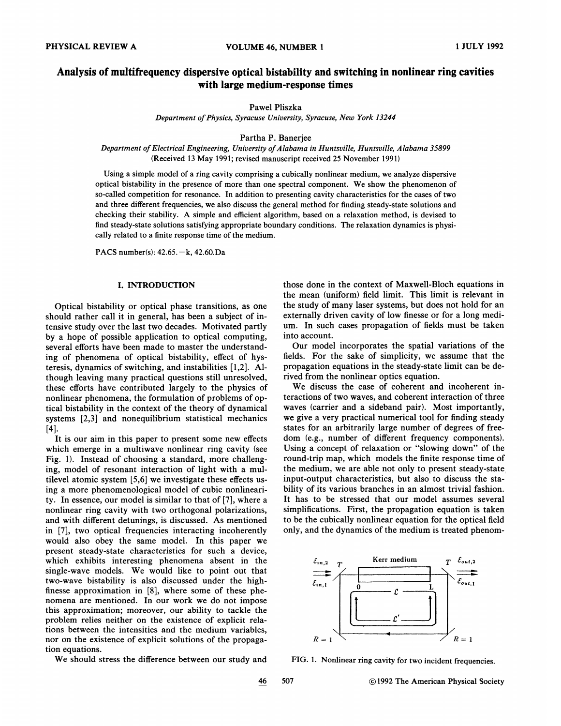## Analysis of multifrequency dispersive optical bistability and switching in nonlinear ring cavities with large medium-response times

Pawel Pliszka

Department of Physics, Syracuse University, Syracuse, New York 13244

Partha P. Banerjee

Department of Electrical Engineering, University of Alabama in Huntsville, Huntsville, Alabama 35899 (Received 13 May 1991; revised manuscript received 25 November 1991)

Using a simple model of a ring cavity comprising a cubically nonlinear medium, we analyze dispersive optical bistability in the presence of more than one spectral component. We show the phenomenon of so-called competition for resonance. In addition to presenting cavity characteristics for the cases of two and three different frequencies, we also discuss the general method for finding steady-state solutions and checking their stability. A simple and efficient algorithm, based on a relaxation method, is devised to find steady-state solutions satisfying appropriate boundary conditions. The relaxation dynamics is physically related to a finite response time of the medium.

PACS number(s): 42.65.—k, 42.60.Da

#### I. INTRODUCTION

Optical bistability or optical phase transitions, as one should rather call it in general, has been a subject of intensive study over the last two decades. Motivated partly by a hope of possible application to optical computing, several efforts have been made to master the understanding of phenomena of optical bistability, effect of hysteresis, dynamics of switching, and instabilities [1,2]. Although leaving many practical questions still unresolved, these efforts have contributed largely to the physics of nonlinear phenomena, the formulation of problems of optical bistability in the context of the theory of dynamical systems [2,3] and nonequilibrium statistical mechanics [4].

It is our aim in this paper to present some new effects which emerge in a multiwave nonlinear ring cavity (see Fig. 1). Instead of choosing a standard, more challenging, model of resonant interaction of light with a multilevel atomic system [5,6] we investigate these effects using a more phenomenological model of cubic nonlinearity. In essence, our model is similar to that of [7], where a nonlinear ring cavity with two orthogonal polarizations, and with different detunings, is discussed. As mentioned in [7], two optical frequencies interacting incoherently would also obey the same model. In this paper we present steady-state characteristics for such a device, which exhibits interesting phenomena absent in the single-wave models. We would like to point out that two-wave bistability is also discussed under the highfinesse approximation in [8], where some of these phenomena are mentioned. In our work we do not impose this approximation; moreover, our ability to tackle the problem relies neither on the existence of explicit relations between the intensities and the medium variables, nor on the existence of explicit solutions of the propagation equations.

We should stress the difference between our study and

those done in the context of Maxwell-Bloch equations in the mean (uniform) field limit. This limit is relevant in the study of many laser systems, but does not hold for an externally driven cavity of low finesse or for a long medium. In such cases propagation of fields must be taken into account.

Our model incorporates the spatial variations of the fields. For the sake of simplicity, we assume that the propagation equations in the steady-state limit can be derived from the nonlinear optics equation.

We discuss the case of coherent and incoherent interactions of two waves, and coherent interaction of three waves (carrier and a sideband pair). Most importantly, we give a very practical numerical tool for finding steady states for an arbitrarily large number of degrees of freedom (e.g., number of different frequency components). Using a concept of relaxation or "slowing down" of the round-trip map, which models the finite response time of the medium, we are able not only to present steady-state input-output characteristics, but also to discuss the stability of its various branches in an almost trivial fashion. It has to be stressed that our model assumes several simplifications. First, the propagation equation is taken to be the cubically nonlinear equation for the optical field only, and the dynamics of the medium is treated phenom-



FIG. 1. Nonlinear ring cavity for two incident frequencies.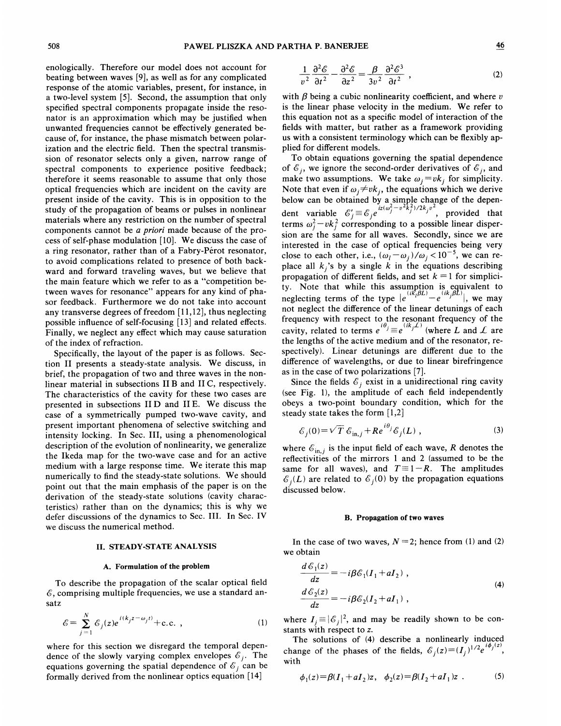enologically. Therefore our model does not account for beating between waves [9], as well as for any complicated response of the atomic variables, present, for instance, in a two-level system [5]. Second, the assumption that only specified spectral components propagate inside the resonator is an approximation which may be justified when unwanted frequencies cannot be effectively generated because of, for instance, the phase mismatch between polarization and the electric field. Then the spectral transmission of resonator selects only a given, narrow range of spectral components to experience positive feedback; therefore it seems reasonable to assume that only those optical frequencies which are incident on the cavity are present inside of the cavity. This is in opposition to the study of the propagation of beams or pulses in nonlinear materials where any restriction on the number of spectral components cannot be a priori made because of the process of self-phase modulation [10]. We discuss the case of a ring resonator, rather than of a Fabry-Perot resonator, to avoid complications related to presence of both backward and forward traveling waves, but we believe that the main feature which we refer to as a "competition between waves for resonance" appears for any kind of phasor feedback. Furthermore we do not take into account any transverse degrees of freedom [11,12], thus neglecting possible infiuence of self-focusing [13] and related effects. Finally, we neglect any effect which may cause saturation of the index of refraction.

Specifically, the layout of the paper is as follows. Section II presents a steady-state analysis. We discuss, in brief, the propagation of two and three waves in the nonlinear material in subsections II B and II C, respectively. The characteristics of the cavity for these two cases are presented in subsections II D and IIE. We discuss the case of a symmetrically pumped two-wave cavity, and present important phenomena of selective switching and intensity locking. In Sec. III, using a phenomenological description of the evolution of nonlinearity, we generalize the Ikeda map for the two-wave case and for an active medium with a large response time. We iterate this map numerically to find the steady-state solutions. We should point out that the main emphasis of the paper is on the derivation of the steady-state solutions (cavity characteristics) rather than on the dynamics; this is why we defer discussions of the dynamics to Sec. III. In Sec. IV we discuss the numerical method.

#### A. Formulation of the problem

To describe the propagation of the scalar optical field  $\mathscr E$ , comprising multiple frequencies, we use a standard ansatz

$$
\mathcal{E} = \sum_{j=1}^{N} \mathcal{E}_j(z) e^{i(k_j z - \omega_j t)} + \text{c.c.} \tag{1}
$$

where for this section we disregard the temporal dependence of the slowly varying complex envelopes  $\mathcal{E}_i$ . The equations governing the spatial dependence of  $\mathcal{E}_i$  can be formally derived from the nonlinear optics equation [14]

$$
\frac{1}{v^2} \frac{\partial^2 \mathscr{E}}{\partial t^2} - \frac{\partial^2 \mathscr{E}}{\partial z^2} = \frac{\beta}{3v^2} \frac{\partial^2 \mathscr{E}^3}{\partial t^2} ,
$$
 (2)

with  $\beta$  being a cubic nonlinearity coefficient, and where  $\nu$ is the linear phase velocity in the medium. We refer to this equation not as a specific model of interaction of the fields with matter, but rather as a framework providing us with a consistent terminology which can be flexibly applied for different models.

To obtain equations governing the spatial dependence of  $\mathcal{E}_i$ , we ignore the second-order derivatives of  $\mathcal{E}_i$ , and make two assumptions. We take  $\omega_j = v k_j$  for simplicity. Note that even if  $\omega_j \neq v k_j$ , the equations which we derive below can be obtained by a simple change of the dependence of the dependence of  $\frac{i\bar{z}(\omega_1^2 - v^2 k_1^2)/2k_1v^2}{2}$ make two assumptions.<br>Note that even if  $\omega_j \neq vk$ <br>below can be obtained b<br>dent variable  $\mathcal{E}'_j \equiv \mathcal{E}_je$ <br>terms  $\omega^2 - vk^2$  correspon 'simple change of the depen<br>  $j=v^2k_j^2/2k_jv^2$ , provided that terms  $\omega_i^2 - v_k^2$  corresponding to a possible linear dispersion are the same for all waves. Secondly, since we are interested in the case of optical frequencies being very close to each other, i.e.,  $(\omega_l - \omega_i)/\omega_i < 10^{-5}$ , we can replace all  $k_i$ 's by a single k in the equations describing propagation of different fields, and set  $k = 1$  for simplicity. Note that while this assumption is equivalent to neglecting terms of the type  $|e^{(ik_j\beta L)} - e^{(ik_j\beta L)}|$ , we may not neglect the difference of the linear detunings of each frequency with respect to the resonant frequency of the cavity, related to terms  $e^{i\theta_j} \equiv e^{(ik_j\mathcal{L})}$  (where L and L are the lengths of the active medium and of the resonator, respectively). Linear detunings are different due to the difference of wavelengths, or due to linear birefringence as in the case of two polarizations [7].

Since the fields  $\mathcal{E}_i$  exist in a unidirectional ring cavity (see Fig. 1), the amplitude of each field independently obeys a two-point boundary condition, which for the steady state takes the form [1,2]

$$
\mathcal{E}_j(0) = \sqrt{T} \; \mathcal{E}_{\text{in},j} + \textit{Re}^{i\theta_j} \mathcal{E}_j(L) \;, \tag{3}
$$

where  $\mathcal{E}_{\text{in,}j}$  is the input field of each wave, R denotes the refiectivities of the mirrors <sup>1</sup> and 2 (assumed to be the same for all waves), and  $T \equiv 1 - R$ . The amplitudes  $\mathcal{E}_j(L)$  are related to  $\mathcal{E}_j(0)$  by the propagation equations discussed below.

#### B. Propagation of two waves

II. STEADY-STATE ANALYSIS In the case of two waves,  $N = 2$ ; hence from (1) and (2) we obtain

$$
\frac{d\mathcal{E}_1(z)}{dz} = -i\beta \mathcal{E}_1(I_1 + aI_2) ,
$$
  
\n
$$
\frac{d\mathcal{E}_2(z)}{dz} = -i\beta \mathcal{E}_2(I_2 + aI_1) ,
$$
\n(4)

where  $I_j \equiv |\mathcal{E}_j|^2$ , and may be readily shown to be constants with respect to z.

The solutions of (4) describe a nonlinearly induced change of the phases of the fields,  $\mathcal{E}_j(z) = (I_j)^{1/2} e^{i\phi_j(z)}$ with

$$
\phi_1(z) = \beta(I_1 + aI_2)z, \quad \phi_2(z) = \beta(I_2 + aI_1)z \tag{5}
$$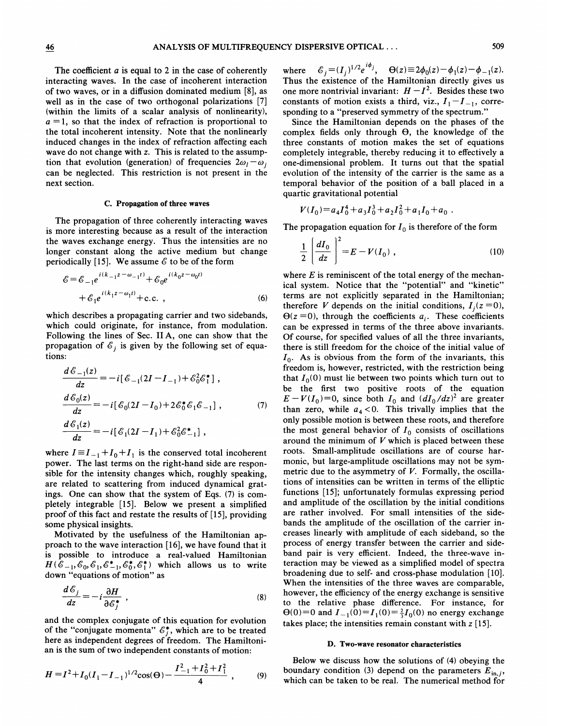The coefficient  $a$  is equal to 2 in the case of coherently interacting waves. In the case of incoherent interaction of two waves, or in a diffusion dominated medium [8], as well as in the case of two orthogonal polarizations [7] (within the limits of a scalar analysis of nonlinearity),  $a = 1$ , so that the index of refraction is proportional to the total incoherent intensity. Note that the nonlinearly induced changes in the index of refraction affecting each wave do not change with z. This is related to the assumption that evolution (generation) of frequencies  $2\omega_1-\omega_1$ . can be neglected. This restriction is not present in the next section.

#### C. Propagation of three waves

The propagation of three coherently interacting waves is more interesting because as a result of the interaction the waves exchange energy. Thus the intensities are no longer constant along the active medium but change periodically [15]. We assume  $\mathcal E$  to be of the form

$$
\mathcal{E} = \mathcal{E}_{-1} e^{i(k_{-1}z - \omega_{-1}t)} + \mathcal{E}_0 e^{i(k_0z - \omega_0t)}
$$

$$
+ \mathcal{E}_1 e^{i(k_1z - \omega_1t)} + \text{c.c.} , \qquad (6)
$$

which describes a propagating carrier and two sidebands, which could originate, for instance, from modulation. Following the lines of Sec. II A, one can show that the propagation of  $\mathcal{E}_i$  is given by the following set of equations:

$$
\frac{d \mathcal{E}_{-1}(z)}{dz} = -i [\mathcal{E}_{-1}(2I - I_{-1}) + \mathcal{E}_{0}^{2} \mathcal{E}_{1}^{*}],
$$
  
\n
$$
\frac{d \mathcal{E}_{0}(z)}{dz} = -i [\mathcal{E}_{0}(2I - I_{0}) + 2\mathcal{E}_{0}^{*} \mathcal{E}_{1} \mathcal{E}_{-1}],
$$
  
\n
$$
\frac{d \mathcal{E}_{1}(z)}{dz} = -i [\mathcal{E}_{1}(2I - I_{1}) + \mathcal{E}_{0}^{2} \mathcal{E}_{-1}^{*}],
$$
  
\n(7)

where  $I \equiv I_{-1} + I_0 + I_1$  is the conserved total incoherent power. The last terms on the right-hand side are responsible for the intensity changes which, roughly speaking, are related to scattering from induced dynamical gratings. One can show that the system of Eqs. (7) is completely integrable [15]. Below we present a simplified proof of this fact and restate the results of  $[15]$ , providing some physical insights.

Motivated by the usefulness of the Hamiltonian approach to the wave interaction  $[16]$ , we have found that it is possible to introduce a real-valued Hamiltonian  $H(\mathcal{E}_{-1}, \mathcal{E}_0, \mathcal{E}_1, \mathcal{E}_{-1}^*, \mathcal{E}_0^*, \mathcal{E}_1^*)$  which allows us to write down "equations of motion" as

$$
\frac{d\mathscr{E}_j}{dz} = -i \frac{\partial H}{\partial \mathscr{E}_j^*} \tag{8}
$$

and the complex conjugate of this equation for evolution of the "conjugate momenta"  $\mathcal{E}_j^*$ , which are to be treated here as independent degrees of freedom. The Hamiltonian is the sum of two independent constants of motion:

$$
H = I^2 + I_0(I_1 - I_{-1})^{1/2} \cos(\Theta) - \frac{I_{-1}^2 + I_0^2 + I_1^2}{4},
$$
 (9)

where  $\mathcal{E}_j = (I_j)^{1/2} e^{i\phi_j}, \quad \Theta(z) \equiv 2\phi_0(z) - \phi_1(z) - \phi_{-1}(z).$ Thus the existence of the Hamiltonian directly gives us one more nontrivial invariant:  $H - I^2$ . Besides these two constants of motion exists a third, viz.,  $I_1-I_{-1}$ , corresponding to <sup>a</sup> "preserved symmetry of the spectrum. "

Since the Hamiltonian depends on the phases of the complex fields only through  $\Theta$ , the knowledge of the three constants of motion makes the set of equations completely integrable, thereby reducing it to effectively a one-dimensional problem. It turns out that the spatial evolution of the intensity of the carrier is the same as a temporal behavior of the position of a ball placed in a quartic gravitational potential

$$
V(I_0) = a_4 I_0^4 + a_3 I_0^3 + a_2 I_0^2 + a_1 I_0 + a_0.
$$

The propagation equation for  $I_0$  is therefore of the form

$$
\frac{1}{2} \left[ \frac{dI_0}{dz} \right]^2 = E - V(I_0) , \qquad (10)
$$

where  $E$  is reminiscent of the total energy of the mechanical system. Notice that the "potential" and "kinetic" terms are not explicitly separated in the Hamiltonian; therefore V depends on the initial conditions,  $I_i(z=0)$ ,  $\Theta(z=0)$ , through the coefficients  $a_i$ . These coefficients can be expressed in terms of the three above invariants. Of course, for specified values of all the three invariants, there is still freedom for the choice of the initial value of  $I_0$ . As is obvious from the form of the invariants, this freedom is, however, restricted, with the restriction being that  $I_0(0)$  must lie between two points which turn out to be the first two positive roots of the equation  $E-V(I_0)=0$ , since both  $I_0$  and  $(dI_0/dz)^2$  are greater than zero, while  $a_4$ <0. This trivally implies that the only possible motion is between these roots, and therefore the most general behavior of  $I_0$  consists of oscillations around the minimum of  $V$  which is placed between these roots. Small-amplitude oscillations are of course harmonic, but large-amplitude oscillations may not be symmetric due to the asymmetry of V. Formally, the oscillations of intensities can be written in terms of the elliptic functions [15]; unfortunately formulas expressing period and amplitude of the oscillation by the initial conditions are rather involved. For small intensities of the sidebands the amplitude of the oscillation of the carrier increases linearly with amplitude of each sideband, so the process of energy transfer between the carrier and sideband pair is very efficient. Indeed, the three-wave interaction may be viewed as a simplified model of spectra broadening due to self- and cross-phase modulation [10]. When the intensities of the three waves are comparable, however, the efficiency of the energy exchange is sensitive to the relative phase difference. For instance, for  $\Theta(0)=0$  and  $I_{-1}(0)=I_1(0)=\frac{2}{3}I_0(0)$  no energy exchange takes place; the intensities remain constant with  $z$  [15].

#### D. Two-wave resonator characteristics

Below we discuss how the solutions of (4) obeying the boundary condition (3) depend on the parameters  $E_{\text{in, }j}$ , which can be taken to be real. The numerical method for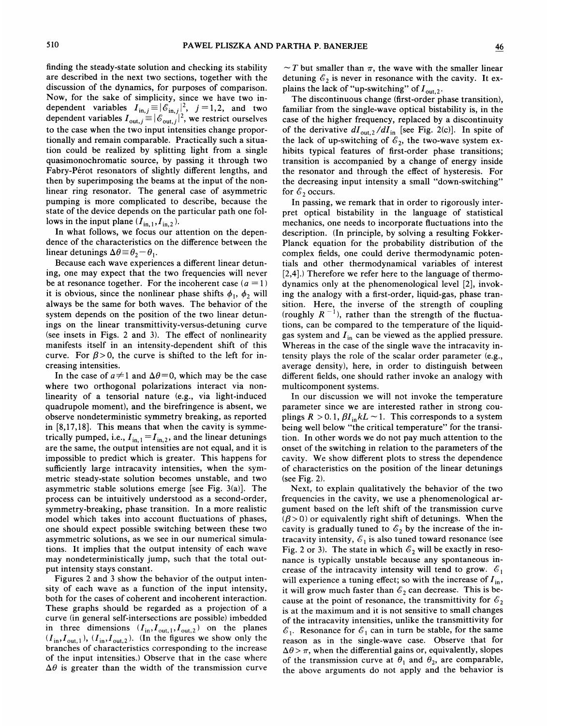finding the steady-state solution and checking its stability are described in the next two sections, together with the discussion of the dynamics, for purposes of comparison. Now, for the sake of simplicity, since we have two indiscussion of the dynamics, for purposes of comparison<br>Now, for the sake of simplicity, since we have two in<br>dependent variables  $I_{\text{in},j} = |\mathcal{E}_{\text{in},j}|^2$ ,  $j = 1,2$ , and two<br>dependent variables  $I_{\text{out},j} = |\mathcal{E}_{\text{out},j}|^$ to the case when the two input intensities change proportionally and remain comparable. Practically such a situation could be realized by splitting light from a single quasimonochromatic source, by passing it through two Fabry-Pérot resonators of slightly different lengths, and then by superimposing the beams at the input of the nonlinear ring resonator. The general case of asymmetric pumping is more complicated to describe, because the state of the device depends on the particular path one follows in the input plane  $(I_{in,1}, I_{in,2})$ .

In what follows, we focus our attention on the dependence of the characteristics on the difference between the linear detunings  $\Delta\theta \equiv \theta_2 - \theta_1$ .

Because each wave experiences a different linear detuning, one may expect that the two frequencies will never be at resonance together. For the incoherent case  $(a = 1)$ it is obvious, since the nonlinear phase shifts  $\phi_1$ ,  $\phi_2$  will always be the same for both waves. The behavior of the system depends on the position of the two linear detunings on the linear transmittivity-versus-detuning curve (see insets in Figs. 2 and 3). The effect of nonlinearity manifests itself in an intensity-dependent shift of this curve. For  $\beta > 0$ , the curve is shifted to the left for increasing intensities.

In the case of  $a\neq 1$  and  $\Delta\theta=0$ , which may be the case where two orthogonal polarizations interact via nonlinearity of a tensorial nature (e.g., via light-induced quadrupole moment), and the birefringence is absent, we observe nondeterministic symmetry breaking, as reported in [8,17,18]. This means that when the cavity is symmetrically pumped, i.e.,  $I_{\text{in},1} = I_{\text{in},2}$ , and the linear detunings are the same, the output intensities are not equal, and it is impossible to predict which is greater. This happens for sufficiently large intracavity intensities, when the symmetric steady-state solution becomes unstable, and two asymmetric stable solutions emerge [see Fig. 3(a)]. The process can be intuitively understood as a second-order, symmetry-breaking, phase transition. In a more realistic model which takes into account fluctuations of phases, one should expect possible switching between these two asymmetric solutions, as we see in our numerical simulations. It implies that the output intensity of each wave may nondeterministically jump, such that the total output intensity stays constant.

Figures 2 and 3 show the behavior of the output intensity of each wave as a function of the input intensity, both for the cases of coherent and incoherent interaction. These graphs should be regarded as a projection of a curve (in general self-intersections are possible) imbedded curve (in general self-intersections are possible) imbedded<br>in three dimensions  $(I_{in}, I_{out,1}, I_{out,2})$  on the planes<br> $(I_{in}, I_{out,1})$ ,  $(I_{in}, I_{out,2})$ . (In the figures we show only the<br>figures of characteristics corresponding to the branches of characteristics corresponding to the increase of the input intensities. ) Observe that in the case where  $\Delta\theta$  is greater than the width of the transmission curve

 $\sim$  T but smaller than  $\pi$ , the wave with the smaller linear detuning  $\mathcal{E}_2$  is never in resonance with the cavity. It explains the lack of "up-switching" of  $I_{\text{out,2}}$ .

The discontinuous change (first-order phase transition), familiar from the single-wave optical bistability is, in the case of the higher frequency, replaced by a discontinuity of the derivative  $dI_{\text{out,2}}/dI_{\text{in}}$  [see Fig. 2(c)]. In spite of the lack of up-switching of  $\mathcal{E}_2$ , the two-wave system exhibits typical features of first-order phase transitions; transition is accompanied by a change of energy inside the resonator and through the effect of hysteresis. For the decreasing input intensity a small "down-switching" for  $\mathcal{E}_2$  occurs.

In passing, we remark that in order to rigorously interpret optical bistability in the language of statistical mechanics, one needs to incorporate fluctuations into the description. (In principle, by solving a resulting Fokker-Planck equation for the probability distribution of the complex fields, one could derive thermodynamic potentials and other thermodynamical variables of interest [2,4].) Therefore we refer here to the language of thermodynamics only at the phenomenological level [2], invoking the analogy with a first-order, liquid-gas, phase transition. Here, the inverse of the strength of coupling (roughly  $R^{-1}$ ), rather than the strength of the fluctuations, can be compared to the temperature of the liquidgas system and  $I_{\text{in}}$  can be viewed as the applied pressure. Whereas in the case of the single wave the intracavity intensity plays the role of the scalar order parameter (e.g., average density), here, in order to distinguish between different fields, one should rather invoke an analogy with multicomponent systems.

In our discussion we will not invoke the temperature parameter since we are interested rather in strong couplings  $R > 0.1$ ,  $\beta I_{\text{in}} kL \sim 1$ . This corresponds to a system being well below "the critical temperature" for the transition. In other words we do not pay much attention to the onset of the switching in relation to the parameters of the cavity. We show different plots to stress the dependence of characteristics on the position of the linear detunings (see Fig. 2).

Next, to explain qualitatively the behavior of the two frequencies in the cavity, we use a phenomenological argument based on the left shift of the transmission curve  $(\beta > 0)$  or equivalently right shift of detunings. When the cavity is gradually tuned to  $\mathcal{E}_2$  by the increase of the intracavity intensity,  $\mathcal{E}_1$  is also tuned toward resonance (see Fig. 2 or 3). The state in which  $\mathcal{E}_2$  will be exactly in resonance is typically unstable because any spontaneous increase of the intracavity intensity will tend to grow.  $\mathcal{E}_1$ will experience a tuning effect; so with the increase of  $I_{\text{in}}$ , it will grow much faster than  $\mathcal{E}_2$  can decrease. This is because at the point of resonance, the transmittivity for  $\mathcal{E}_2$ is at the maximum and it is not sensitive to small changes of the intracavity intensities, unlike the transrnittivity for  $\mathcal{E}_1$ . Resonance for  $\mathcal{E}_1$  can in turn be stable, for the same reason as in the single-wave case. Observe that for  $\Delta\theta$  >  $\pi$ , when the differential gains or, equivalently, slopes of the transmission curve at  $\theta_1$  and  $\theta_2$ , are comparable, the above arguments do not apply and the behavior is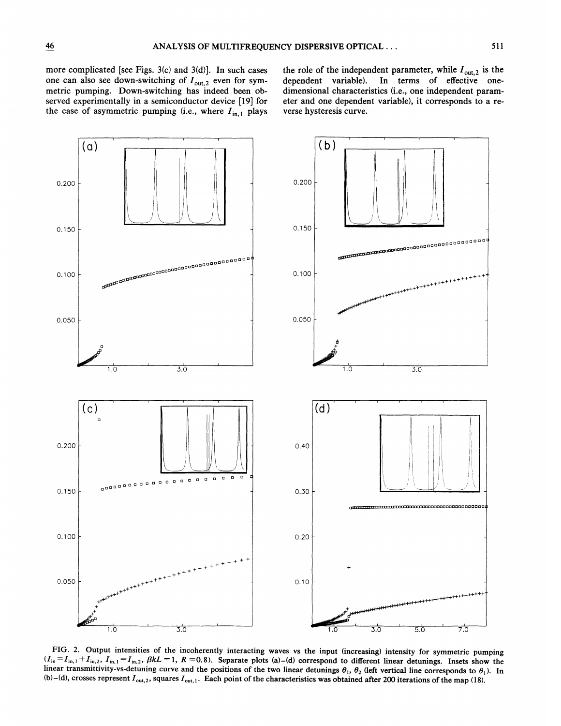more complicated [see Figs. 3(c) and 3(d)]. In such cases one can also see down-switching of  $I_{\text{out,2}}$  even for symmetric pumping. Down-switching has indeed been observed experimentally in a semiconductor device [19] for the case of asymmetric pumping (i.e., where  $I_{in,1}$  plays the role of the independent parameter, while  $I_{\text{out},2}$  is the dependent variable). In terms of effective onedimensional characteristics (i.e., one independent parameter and one dependent variable), it corresponds to a reverse hysteresis curve.



FIG. 2. Output intensities of the incoherently interacting waves vs the input (increasing) intensity for symmetric pumping  $(I_{in} = I_{in,1} + I_{in,2}, I_{in,1} = I_{in,2}, \beta kL = 1, R = 0.8$ ). Separate plots (a)-(d) correspond to different linear detunings. Insets show the linear transmittivity-vs-detuning curve and the positions of the two linear detunings  $\theta_1$ ,  $\theta_2$  (left vertical line corresponds to  $\theta_1$ ). In (b)-(d), crosses represent  $I_{\text{out},2}$ , squares  $I_{\text{out},1}$ . Each point of the characteristics was obtained after 200 iterations of the map (18).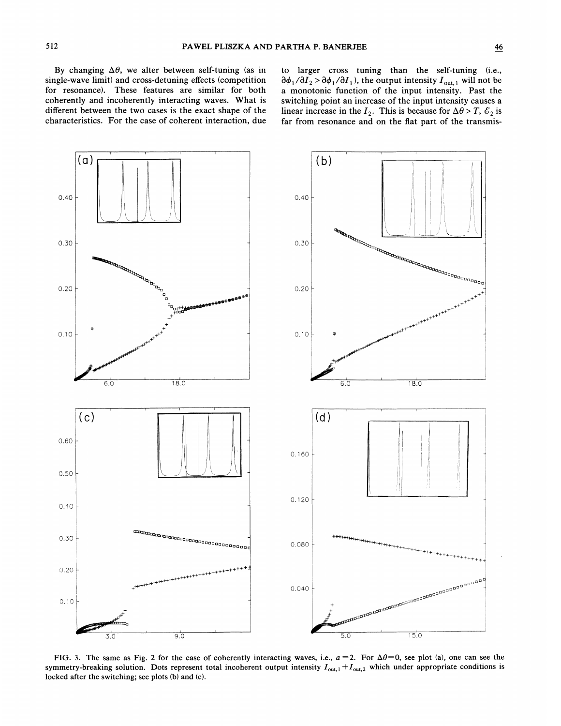By changing  $\Delta\theta$ , we alter between self-tuning (as in single-wave limit) and cross-detuning effects (competition for resonance). These features are similar for both coherently and incoherently interacting waves. What is different between the two cases is the exact shape of the characteristics. For the case of coherent interaction, due to larger cross tuning than the self-tuning (i.e.,  $\partial \phi_1 / \partial I_2 > \partial \phi_1 / \partial I_1$ , the output intensity  $I_{\text{out},1}$  will not be a monotonic function of the input intensity. Past the switching point an increase of the input intensity causes a linear increase in the  $I_2$ . This is because for  $\Delta \theta > T$ ,  $\mathcal{E}_2$  is far from resonance and on the flat part of the transmis-



FIG. 3. The same as Fig. 2 for the case of coherently interacting waves, i.e.,  $a=2$ . For  $\Delta\theta=0$ , see plot (a), one can see the symmetry-breaking solution. Dots represent total incoherent output intensity  $I_{\text{out,1}}+I_{\text{out,2}}$  which under appropriate conditions is locked after the switching; see plots (b) and (c).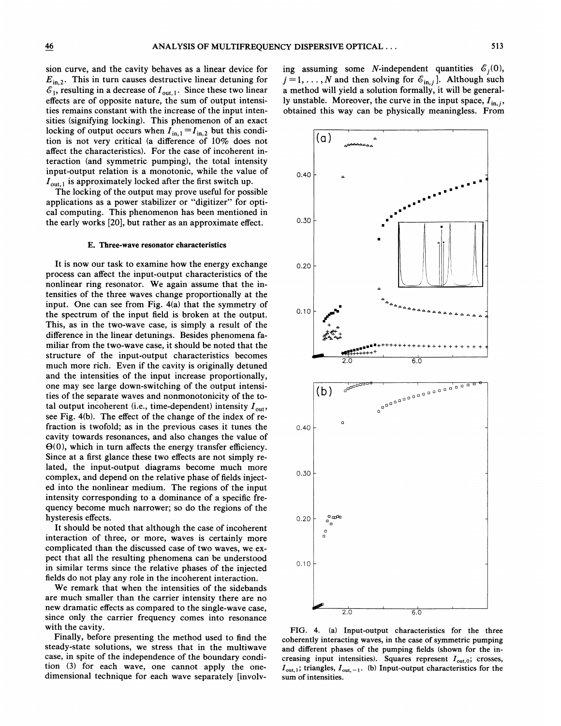sion curve, and the cavity behaves as a linear device for  $E_{\text{in},2}$ . This in turn causes destructive linear detuning for  $\mathcal{C}_1$ , resulting in a decrease of  $I_{\text{out},1}$ . Since these two linear effects are of opposite nature, the sum of output intensities remains constant with the increase of the input intensities (signifying locking). This phenomenon of an exact locking of output occurs when  $I_{\text{in,1}}=I_{\text{in,2}}$  but this condition is not very critical (a difference of 10% does not affect the characteristics). For the case of incoherent interaction (and symmetric pumping), the total intensity input-output relation is a monotonic, while the value of In the unit of the interest of  $I_{\text{out},1}$  is approximately locked after the first switch up.

The locking of the output may prove useful for possible applications as a power stabilizer or "digitizer" for optical computing. This phenomenon has been mentioned in the early works [20], but rather as an approximate effect.

#### E. Three-wave resonator characteristics

It is now our task to examine how the energy exchange process can affect the input-output characteristics of the nonlinear ring resonator. We again assume that the intensities of the three waves change proportionally at the input. One can see from Fig. 4(a) that the symmetry of the spectrum of the input field is broken at the output. This, as in the two-wave case, is simply a result of the difference in the linear detunings. Besides phenomena familiar from the two-wave case, it should be noted that the structure of the input-output characteristics becomes much more rich. Even if the cavity is originally detuned and the intensities of the input increase proportionally, one may see large down-switching of the output intensities of the separate waves and nonmonotonicity of the total output incoherent (i.e., time-dependent) intensity  $I_{\text{o}}$ see Fig. 4(b). The effect of the change of the index of refraction is twofold; as in the previous cases it tunes the cavity towards resonances, and also changes the value of  $\Theta(0)$ , which in turn affects the energy transfer efficiency. Since at a first glance these two effects are not simply related, the input-output diagrams become much more complex, and depend on the relative phase of fields injected into the nonlinear medium. The regions of the input intensity corresponding to a dominance of a specific frequency become much narrower; so do the regions of the hysteresis effects.

It should be noted that although the case of incoherent interaction of three, or more, waves is certainly more complicated than the discussed case of two waves, we expect that all the resulting phenomena can be understood in similar terms since the relative phases of the injected fields do not play any role in the incoherent interaction.

We remark that when the intensities of the sidebands are much smaller than the carrier intensity there are no new dramatic effects as compared to the single-wave case, since only the carrier frequency comes into resonance with the cavity.

Finally, before presenting the method used to find the steady-state solutions, we stress that in the multiwave case, in spite of the independence of the boundary condition (3) for each wave, one cannot apply the onedimensional technique for each wave separately [involving assuming some *N*-independent quantities  $\mathcal{E}_i(0)$ , ing assuming some *N*-independent quantities  $\sigma_j(0)$ <br>  $j = 1, ..., N$  and then solving for  $\mathcal{E}_{\text{in, j}}$ . Although such a method will yield a solution formally, it will be generally unstable. Moreover, the curve in the input space,  $I_{\text{in},j}$ , obtained this way can be physically meaningless. From



FIG. 4. (a) Input-output characteristics for the three coherently interacting waves, in the case of symmetric pumping and different phases of the pumping fields (shown for the inand different phases of the pumping fields (shown for the increasing input intensities). Squares represent  $I_{\text{out},0}$ ; crosses,<br> $I_{\text{out}}$  is triangles  $I_{\text{out}}$  (b) Input output abonotoriation for the creasing input intensities). Squares represent  $I_{\text{out},0}$ ; crosses  $I_{\text{out},1}$ ; triangles,  $I_{\text{out},-1}$ . (b) Input-output characteristics for the sum of intensities.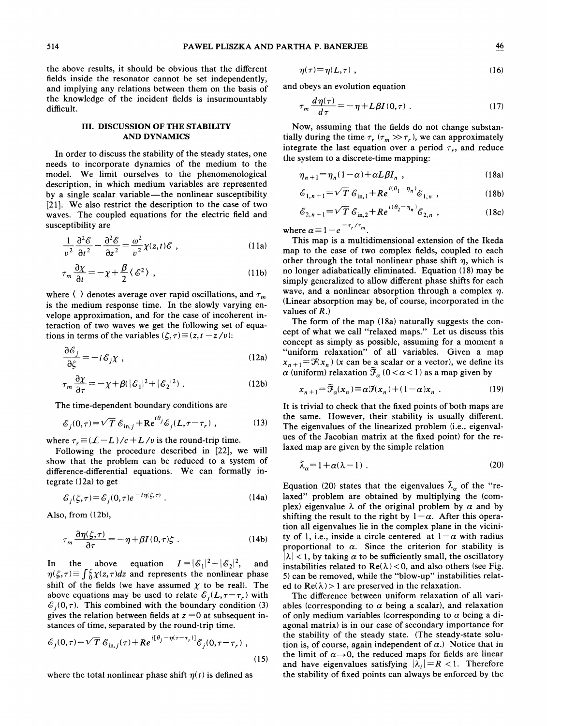the above results, it should be obvious that the different fields inside the resonator cannot be set independently, and implying any relations between them on the basis of the knowledge of the incident fields is insurmountably difficult.

#### III. DISCUSSION OF THE STABILITY AND DYNAMICS

In order to discuss the stability of the steady states, one needs to incorporate dynamics of the medium to the model. We limit ourselves to the phenomenological description, in which medium variables are represented by <sup>a</sup> single scalar variable —the nonlinear susceptibility [21]. We also restrict the description to the case of two waves. The coupled equations for the electric field and susceptibility are

$$
\frac{1}{v^2} \frac{\partial^2 \mathscr{E}}{\partial t^2} - \frac{\partial^2 \mathscr{E}}{\partial z^2} = \frac{\omega^2}{v^2} \chi(z, t) \mathscr{E} , \qquad (11a)
$$

$$
\tau_m \frac{\partial \chi}{\partial t} = -\chi + \frac{\beta}{2} \langle \mathcal{E}^2 \rangle \tag{11b}
$$

where  $\langle \rangle$  denotes average over rapid oscillations, and  $\tau_m$ is the medium response time. In the slowly varying envelope approximation, and for the case of incoherent interaction of two waves we get the following set of equations in terms of the variables  $(\zeta, \tau) \equiv (z, t - z/v)$ :

$$
\frac{\partial \mathcal{E}_j}{\partial \zeta} = -i \mathcal{E}_j \chi \tag{12a}
$$

$$
\tau_m \frac{\partial \chi}{\partial \tau} = -\chi + \beta (|\mathcal{E}_1|^2 + |\mathcal{E}_2|^2) \tag{12b}
$$

$$
\mathcal{E}_j(0,\tau) = \sqrt{T} \; \mathcal{E}_{\text{in},j} + \text{Re}^{i\theta_j} \mathcal{E}_j(L,\tau - \tau_r) \;, \tag{13}
$$

where  $\tau = (\mathcal{L} - L)/c + L/v$  is the round-trip time.

Following the procedure described in [22], we will show that the problem can be reduced to a system of difference-differential equations. We can formally integrate (12a) to get

$$
\mathcal{E}_i(\zeta,\tau) = \mathcal{E}_i(0,\tau)e^{-i\eta(\zeta,\tau)}\,. \tag{14a}
$$

Also, from (12b),

Therefore, differential equations. We can formally in-  
\nrate (12a) to get

\n
$$
\mathcal{E}_j(\zeta, \tau) = \mathcal{E}_j(0, \tau) e^{-i \eta(\zeta, \tau)}
$$

\n(14a)

\nso, from (12b),

\n
$$
\tau_m \frac{\partial \eta(\zeta, \tau)}{\partial \tau} = -\eta + \beta I(0, \tau) \zeta
$$

\n(14b)

the above equation  $I = |\mathcal{E}_1|^2 + |\mathcal{E}_2|^2$ , and In the above equation  $I = |\mathcal{E}_1|^2 + |\mathcal{E}_2|^2$ , and  $\eta(\zeta, \tau) \equiv \int_{\zeta}^{\zeta} \chi(z, \tau) dz$  and represents the nonlinear phase shift of the fields (we have assumed  $\chi$  to be real). The above equations may be used to relate  $\mathcal{E}_i(L, \tau - \tau_r)$  with.  $\mathcal{E}_1(0,\tau)$ . This combined with the boundary condition (3) gives the relation between fields at  $z = 0$  at subsequent instances of time, separated by the round-trip time.

$$
\mathcal{E}_j(0,\tau) = \sqrt{T} \; \mathcal{E}_{\text{in},j}(\tau) + R e^{i[\theta_j - \eta(\tau - \tau_r)]} \mathcal{E}_j(0,\tau - \tau_r) \;, \tag{15}
$$

where the total nonlinear phase shift  $\eta(t)$  is defined as

$$
\eta(\tau) = \eta(L, \tau) \tag{16}
$$

and obeys an evolution equation

$$
\tau_m \frac{d\eta(\tau)}{d\tau} = -\eta + L\beta I(0,\tau) \tag{17}
$$

Now, assuming that the fields do not change substantially during the time  $\tau_r$  ( $\tau_m \gg \tau_r$ ), we can approximately integrate the last equation over a period  $\tau_r$ , and reduce the system to a discrete-time mapping:

$$
\eta_{n+1} = \eta_n (1 - \alpha) + \alpha L \beta I_n \tag{18a}
$$

$$
\mathcal{E}_{1,n+1} = \sqrt{T} \; \mathcal{E}_{\text{in},1} + R e^{i(\theta_1 - \eta_n)} \mathcal{E}_{1,n} \; , \tag{18b}
$$

$$
\mathcal{E}_{2,n+1} = \sqrt{T} \; \mathcal{E}_{\text{in},2} + R e^{i(\theta_2 - \eta_n)} \mathcal{E}_{2,n} \; , \tag{18c}
$$

where  $\alpha = 1 - e^{-\tau_r/4}$ 

This map is a multidimensional extension of the Ikeda map to the case of two complex fields, coupled to each other through the total nonlinear phase shift  $\eta$ , which is no longer adiabatically eliminated. Equation (18) may be simply generalized to allow different phase shifts for each wave, and a nonlinear absorption through a complex  $\eta$ . (Linear absorption may be, of course, incorporated in the values of  $R$ .)

The form of the map (18a) naturally suggests the con-The form of the map (18a) naturally suggests the concept of what we call "relaxed maps." Let us discuss this concept as simply as possible, assuming for a moment a "uniform relaxation" of all variables. Given a map  $x_{n+1} = \mathcal{F}(x_n)$  (x can be a scalar or a vector), we define its  $\alpha$  (uniform) relaxation  $\tilde{\mathcal{F}}_{\alpha}$  (0 <  $\alpha$  < 1) as a map given by

(12b) 
$$
x_{n+1} = \tilde{\mathcal{F}}_{\alpha}(x_n) \equiv \alpha \mathcal{F}(x_n) + (1 - \alpha) x_n \tag{19}
$$

The time-dependent boundary conditions are It is trivial to check that the fixed points of both maps are the same. However, their stability is usually different. The eigenvalues of the linearized problem (i.e., eigenvalues of the Jacobian matrix at the fixed point) for the relaxed map are given by the simple relation

$$
\tilde{\lambda}_a = 1 + \alpha(\lambda - 1) \tag{20}
$$

Equation (20) states that the eigenvalues  $\lambda_a$  of the "relaxed" problem are obtained by multiplying the (complex) eigenvalue  $\lambda$  of the original problem by  $\alpha$  and by shifting the result to the right by  $1-\alpha$ . After this operation all eigenvalues lie in the complex plane in the vicinition an eigenvalues he in the complex plane in the victim<br>ty of 1, i.e., inside a circle centered at  $1-\alpha$  with radiu proportional to  $\alpha$ . Since the criterion for stability is proportional to  $\alpha$ . Since the criterion for stability  $|\lambda| < 1$ , by taking  $\alpha$  to be sufficiently small, the oscillator instabilities related to  $\text{Re}(\lambda) < 0$ , and also others (see Fig. 5) can be removed, while the "blow-up" instabilities related to  $\text{Re}(\lambda) > 1$  are preserved in the relaxation.

The difference between uniform relaxation of all variables (corresponding to  $\alpha$  being a scalar), and relaxation of only medium variables (corresponding to  $\alpha$  being a diagonal matrix) is in our case of secondary importance for the stability of the steady state. (The steady-state solution is, of course, again independent of  $\alpha$ .) Notice that in the limit of  $\alpha \rightarrow 0$ , the reduced maps for fields are linear and have eigenvalues satisfying  $|\lambda_i| = R < 1$ . Therefore the stability of fixed points can always be enforced by the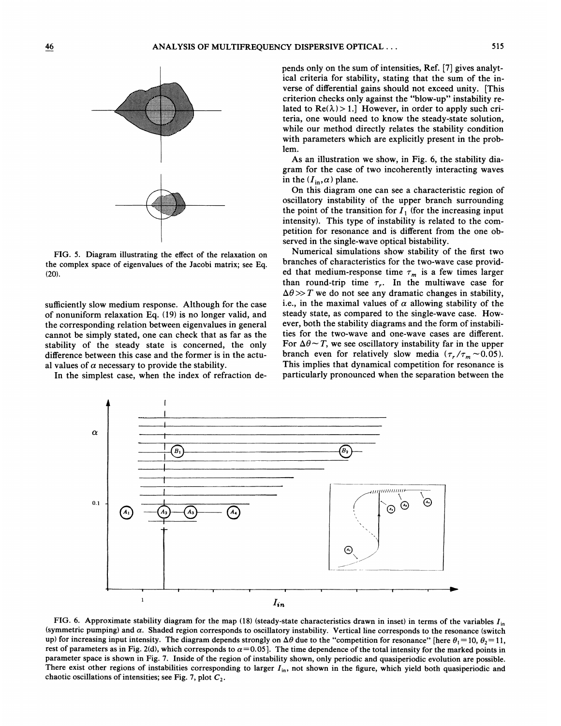

FIG. 5. Diagram illustrating the effect of the relaxation on the complex space of eigenvalues of the Jacobi matrix; see Eq. (20).

sufficiently slow medium response. Although for the case of nonuniform relaxation Eq. (19) is no longer valid, and the corresponding relation between eigenvalues in general cannot be simply stated, one can check that as far as the stability of the steady state is concerned, the only difference between this case and the former is in the actual values of  $\alpha$  necessary to provide the stability.

In the simplest case, when the index of refraction de-

pends only on the sum of intensities, Ref. [7] gives analytical criteria for stability, stating that the sum of the inverse of differential gains should not exceed unity. [This criterion checks only against the "blow-up" instability re-<br>lated to  $Re(\lambda) > 1$ .] However, in order to apply such criteria, one would need to know the steady-state solution, while our method directly relates the stability condition with parameters which are explicitly present in the problem.

As an illustration we show, in Fig. 6, the stability diagram for the case of two incoherently interacting waves in the  $(I_{\text{in}}, \alpha)$  plane.

On this diagram one can see a characteristic region of oscillatory instability of the upper branch surrounding the point of the transition for  $I_1$  (for the increasing input intensity). This type of instability is related to the competition for resonance and is different from the one observed in the single-wave optical bistability.

Numerical simulations show stability of the first two branches of characteristics for the two-wave case provided that medium-response time  $\tau_m$  is a few times larger than round-trip time  $\tau_r$ . In the multiwave case for  $\Delta\theta \gg T$  we do not see any dramatic changes in stability, i.e., in the maximal values of  $\alpha$  allowing stability of the steady state, as compared to the single-wave case. However, both the stability diagrams and the form of instabilities for the two-wave and one-wave cases are different. For  $\Delta\theta \sim T$ , we see oscillatory instability far in the upper branch even for relatively slow media  $(\tau_r/\tau_m \sim 0.05)$ . This implies that dynamical competition for resonance is particularly pronounced when the separation between the



FIG. 6. Approximate stability diagram for the map (18) (steady-state characteristics drawn in inset) in terms of the variables  $I_{\text{in}}$ (symmetric pumping) and  $\alpha$ . Shaded region corresponds to oscillatory instability. Vertical line corresponds to the resonance (switch up) for increasing input intensity. The diagram depends strongly on  $\Delta\theta$  due to the "competition for resonance" [here  $\theta_1 = 10$ ,  $\theta_2 = 11$ , rest of parameters as in Fig. 2(d), which corresponds to  $\alpha$ =0.05]. The time dependence of the total intensity for the marked points in parameter space is shown in Fig. 7. Inside of the region of instability shown, only periodic and quasiperiodic evolution are possible. There exist other regions of instabilities corresponding to larger  $I_{in}$ , not shown in the figure, which yield both quasiperiodic and chaotic oscillations of intensities; see Fig. 7, plot  $C_2$ .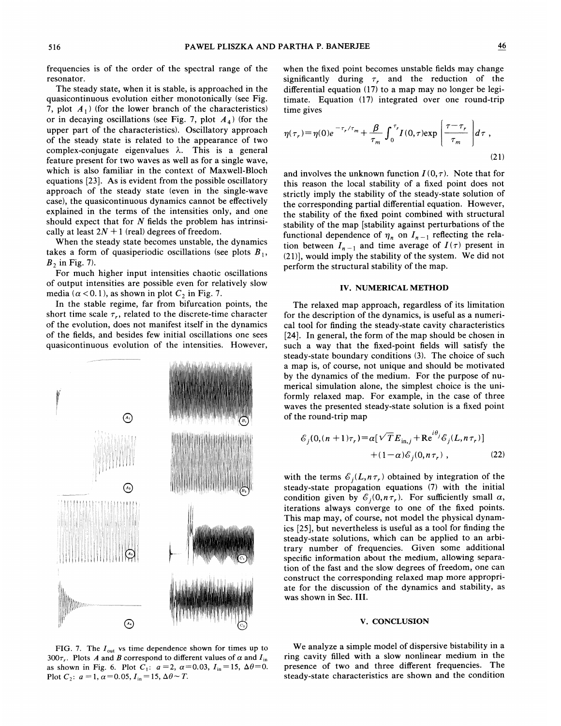frequencies is of the order of the spectral range of the resonator.

The steady state, when it is stable, is approached in the quasicontinuous evolution either monotonically (see Fig. 7, plot  $A_1$ ) (for the lower branch of the characteristic or in decaying oscillations (see Fig. 7, plot  $A_4$ ) (for the upper part of the characteristics). Oscillatory approach of the steady state is related to the appearance of two complex-conjugate eigenvalues  $\lambda$ . This is a general feature present for two waves as well as for a single wave, which is also familiar in the context of Maxwell-Bloch equations [23]. As is evident from the possible oscillatory approach of the steady state (even in the single-wave case), the quasicontinuous dynamics cannot be effectively explained in the terms of the intensities only, and one should expect that for  $N$  fields the problem has intrinsically at least  $2N + 1$  (real) degrees of freedom.

When the steady state becomes unstable, the dynamics takes a form of quasiperiodic oscillations (see plots  $B_1$ ,  $B_2$  in Fig. 7).

For much higher input intensities chaotic oscillations of output intensities are possible even for relatively slow media ( $\alpha$  < 0.1), as shown in plot  $C_2$  in Fig. 7.

In the stable regime, far from bifurcation points, the short time scale  $\tau_r$ , related to the discrete-time character of the evolution, does not manifest itself in the dynamics of the fields, and besides few initial oscillations one sees quasicontinuous evolution of the intensities. However,



FIG. 7. The  $I_{\text{out}}$  vs time dependence shown for times up to 300 $\tau_r$ . Plots A and B correspond to different values of  $\alpha$  and  $I_{\text{in}}$ as shown in Fig. 6. Plot  $C_1$ :  $a = 2$ ,  $\alpha = 0.03$ ,  $I_{in} = 15$ ,  $\Delta\theta = 0$ . Plot  $C_2$ :  $a = 1$ ,  $\alpha = 0.05$ ,  $I_{in} = 15$ ,  $\Delta \theta \sim T$ .

when the fixed point becomes unstable fields may change significantly during  $\tau_r$  and the reduction of the differential equation (17) to a map may no longer be legitimate. Equation (17) integrated over one round-trip time gives

$$
\eta(\tau_r) = \eta(0)e^{-\tau_r/\tau_m} + \frac{\beta}{\tau_m} \int_0^{\tau_r} I(0,\tau) \exp\left[\frac{\tau - \tau_r}{\tau_m}\right] d\tau,
$$
\n(21)

and involves the unknown function  $I(0, \tau)$ . Note that for this reason the local stability of a fixed point does not strictly imply the stability of the steady-state solution of the corresponding partial differential equation. However, the stability of the fixed point combined with structural stability of the map [stability against perturbations of the functional dependence of  $\eta_n$  on  $I_{n-1}$  reflecting the relation between  $I_{n-1}$  and time average of  $I(\tau)$  present in (21)], would imply the stability of the system. We did not perform the structural stability of the map.

#### IV. NUMERICAL METHOD

The relaxed map approach, regardless of its limitation for the description of the dynamics, is useful as a numerical tool for finding the steady-state cavity characteristics [24]. In general, the form of the map should be chosen in such a way that the fixed-point fields will satisfy the steady-state boundary conditions (3). The choice of such a map is, of course, not unique and should be motivated by the dynamics of the medium. For the purpose of numerical simulation alone, the simplest choice is the uniformly relaxed map. For example, in the case of three waves the presented steady-state solution is a fixed point of the round-trip map

$$
\mathcal{E}_j(0, (n+1)\tau_r) = \alpha [\sqrt{T} E_{\text{in},j} + \text{Re}^{i\theta_j} \mathcal{E}_j(L, n\tau_r)]
$$
  
 
$$
+ (1-\alpha) \mathcal{E}_j(0, n\tau_r) , \qquad (22)
$$

with the terms  $\mathcal{E}_i(L,n\tau_r)$  obtained by integration of the steady-state propagation equations (7) with the initial condition given by  $\mathcal{E}_i(0, n\tau_r)$ . For sufficiently small  $\alpha$ , iterations always converge to one of the fixed points. This map may, of course, not model the physical dynamics [25], but nevertheless is useful as a tool for finding the steady-state solutions, which can be applied to an arbitrary number of frequencies. Given some additional specific information about the medium, allowing separation of the fast and the slow degrees of freedom, one can construct the corresponding relaxed map more appropriate for the discussion of the dynamics and stability, as was shown in Sec. III.

#### U. CONCLUSION

We analyze a simple model of dispersive bistability in a ring cavity filled with a slow nonlinear medium in the presence of two and three different frequencies. The steady-state characteristics are shown and the condition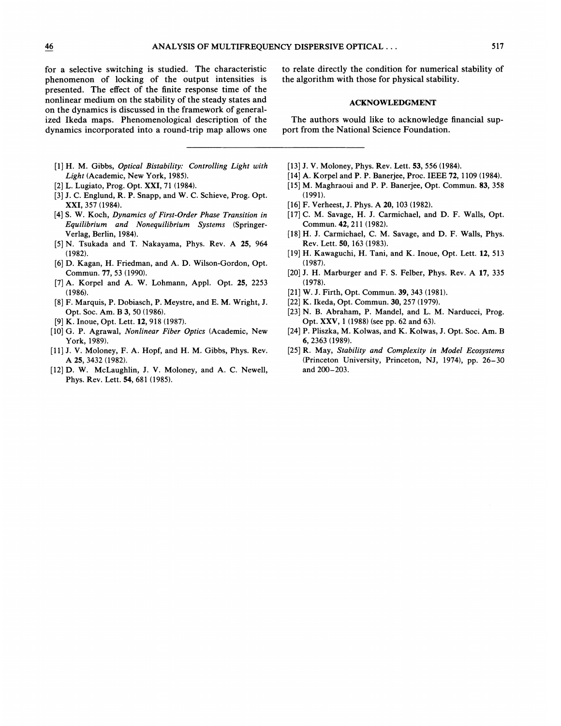for a selective switching is studied. The characteristic phenomenon of locking of the output intensities is presented. The effect of the finite response time of the nonlinear medium on the stability of the steady states and on the dynamics is discussed in the framework of generalized Ikeda maps. Phenomenological description of the dynamics incorporated into a round-trip map allows one to relate directly the condition for numerical stability of the algorithm with those for physical stability.

#### ACKNOWLEDGMENT

The authors would like to acknowledge financial support from the National Science Foundation.

- [1] H. M. Gibbs, Optical Bistability: Controlling Light with Light (Academic, New York, 1985).
- [2] L. Lugiato, Prog. Opt. XXI, 71 (1984).
- [3]J. C. Englund, R. P. Snapp, and W. C. Schieve, Prog. Opt. XXI, 357 (1984).
- [4] S. W. Koch, Dynamics of First-Order Phase Transition in Equilibrium and Nonequilibrium Systems (Springer-Verlag, Berlin, 1984).
- [5] N. Tsukada and T. Nakayama, Phys. Rev. A 25, 964 (1982).
- [6] D. Kagan, H. Friedman, and A. D. Wilson-Gordon, Opt. Commun. 77, 53 (1990).
- [7] A. Korpel and A. W. Lohmann, Appl. Opt. 25, 2253 (1986).
- [8] F. Marquis, P. Dobiasch, P. Meystre, and E. M. Wright, J. Opt. Soc. Am. B 3, 50 (1986).
- [9]K. Inoue, Opt. Lett. 12, 918 (1987).
- [10] G. P. Agrawal, Nonlinear Fiber Optics (Academic, New York, 1989).
- [11] J. V. Moloney, F. A. Hopf, and H. M. Gibbs, Phys. Rev. A 25, 3432 (1982).
- [12] D. W. McLaughlin, J. V. Moloney, and A. C. Newell, Phys. Rev. Lett. 54, 681 (1985).
- [13] J. V. Moloney, Phys. Rev. Lett. 53, 556 (1984).
- [14] A. Korpel and P. P. Banerjee, Proc. IEEE 72, 1109 (1984).
- [15] M. Maghraoui and P. P. Banerjee, Opt. Commun. 83, 358 (1991).
- [16] F. Verheest, J. Phys. A 20, 103 (1982).
- [17] C. M. Savage, H. J. Carmichael, and D. F. Walls, Opt. Commun. 42, 211 (1982).
- [18] H. J. Carmichael, C. M. Savage, and D. F. Walls, Phys. Rev. Lett. 50, 163 (1983).
- [19] H. Kawaguchi, H. Tani, and K. Inoue, Opt. Lett. 12, 513 (1987).
- [20] J. H. Marburger and F. S. Felber, Phys. Rev. A 17, 335 (1978).
- [21]W. J. Firth, Opt. Commun. 39, 343 (1981).
- [22] K. Ikeda, Opt. Commun. 30, 257 (1979).
- [23] N. B. Abraham, P. Mandel, and L. M. Narducci, Prog. Opt. XXV, 1 (1988) (see pp. 62 and 63).
- [24] P. Pliszka, M. Kolwas, and K. Kolwas, J. Opt. Soc. Am. B 6, 2363 (1989).
- [25] R. May, Stability and Complexity in Model Ecosystems (Princeton University, Princeton, NJ, 1974), pp. 26-30 and 200-203.